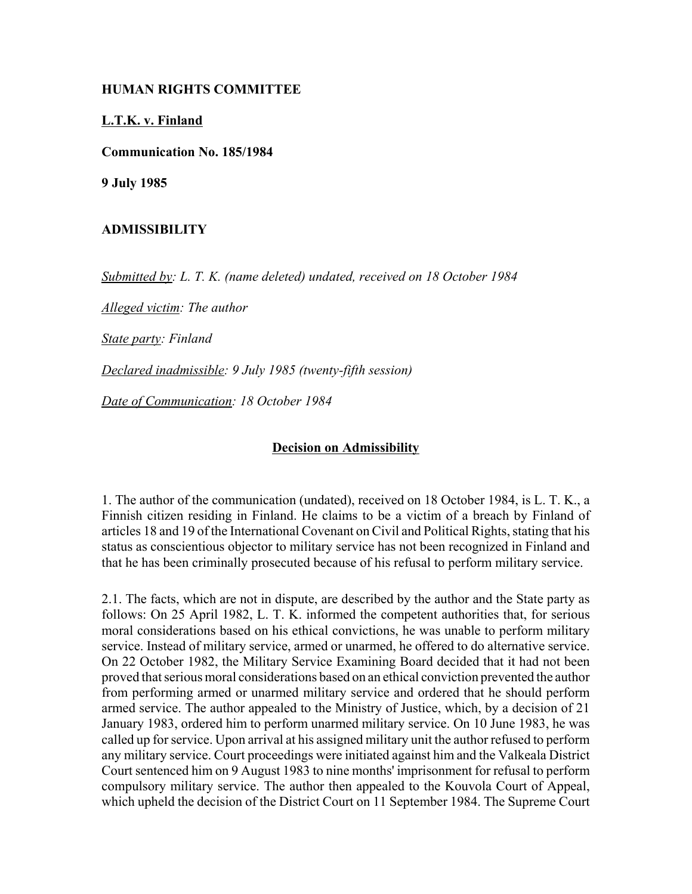## **HUMAN RIGHTS COMMITTEE**

## **L.T.K. v. Finland**

**Communication No. 185/1984**

**9 July 1985**

## **ADMISSIBILITY**

*Submitted by: L. T. K. (name deleted) undated, received on 18 October 1984* 

*Alleged victim: The author* 

*State party: Finland* 

*Declared inadmissible: 9 July 1985 (twenty-fifth session)* 

*Date of Communication: 18 October 1984*

## **Decision on Admissibility**

1. The author of the communication (undated), received on 18 October 1984, is L. T. K., a Finnish citizen residing in Finland. He claims to be a victim of a breach by Finland of articles 18 and 19 of the International Covenant on Civil and Political Rights, stating that his status as conscientious objector to military service has not been recognized in Finland and that he has been criminally prosecuted because of his refusal to perform military service.

2.1. The facts, which are not in dispute, are described by the author and the State party as follows: On 25 April 1982, L. T. K. informed the competent authorities that, for serious moral considerations based on his ethical convictions, he was unable to perform military service. Instead of military service, armed or unarmed, he offered to do alternative service. On 22 October 1982, the Military Service Examining Board decided that it had not been proved that serious moral considerations based on an ethical conviction prevented the author from performing armed or unarmed military service and ordered that he should perform armed service. The author appealed to the Ministry of Justice, which, by a decision of 21 January 1983, ordered him to perform unarmed military service. On 10 June 1983, he was called up for service. Upon arrival at his assigned military unit the author refused to perform any military service. Court proceedings were initiated against him and the Valkeala District Court sentenced him on 9 August 1983 to nine months' imprisonment for refusal to perform compulsory military service. The author then appealed to the Kouvola Court of Appeal, which upheld the decision of the District Court on 11 September 1984. The Supreme Court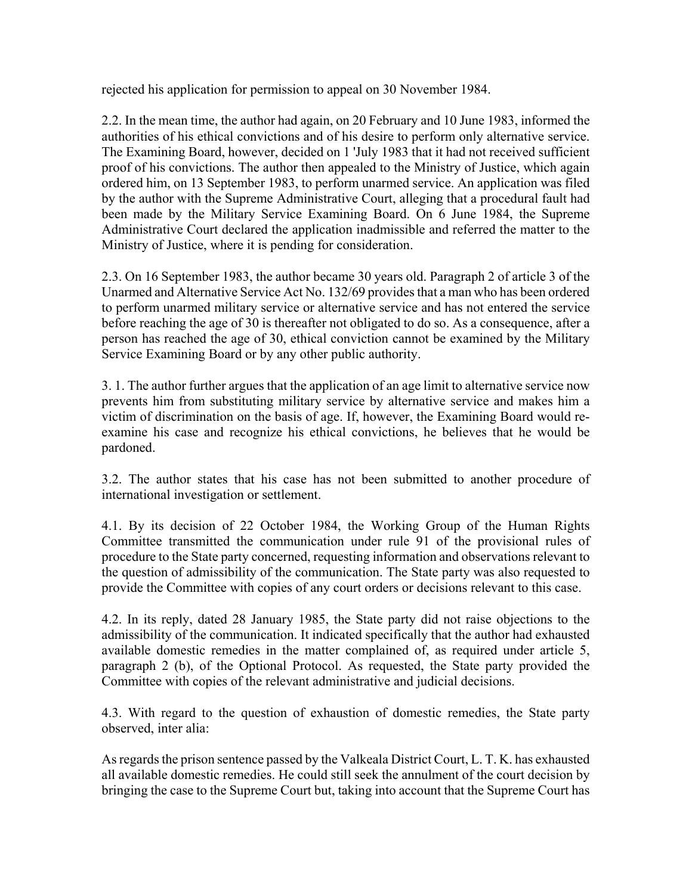rejected his application for permission to appeal on 30 November 1984.

2.2. In the mean time, the author had again, on 20 February and 10 June 1983, informed the authorities of his ethical convictions and of his desire to perform only alternative service. The Examining Board, however, decided on 1 'July 1983 that it had not received sufficient proof of his convictions. The author then appealed to the Ministry of Justice, which again ordered him, on 13 September 1983, to perform unarmed service. An application was filed by the author with the Supreme Administrative Court, alleging that a procedural fault had been made by the Military Service Examining Board. On 6 June 1984, the Supreme Administrative Court declared the application inadmissible and referred the matter to the Ministry of Justice, where it is pending for consideration.

2.3. On 16 September 1983, the author became 30 years old. Paragraph 2 of article 3 of the Unarmed and Alternative Service Act No. 132/69 provides that a man who has been ordered to perform unarmed military service or alternative service and has not entered the service before reaching the age of 30 is thereafter not obligated to do so. As a consequence, after a person has reached the age of 30, ethical conviction cannot be examined by the Military Service Examining Board or by any other public authority.

3. 1. The author further argues that the application of an age limit to alternative service now prevents him from substituting military service by alternative service and makes him a victim of discrimination on the basis of age. If, however, the Examining Board would reexamine his case and recognize his ethical convictions, he believes that he would be pardoned.

3.2. The author states that his case has not been submitted to another procedure of international investigation or settlement.

4.1. By its decision of 22 October 1984, the Working Group of the Human Rights Committee transmitted the communication under rule 91 of the provisional rules of procedure to the State party concerned, requesting information and observations relevant to the question of admissibility of the communication. The State party was also requested to provide the Committee with copies of any court orders or decisions relevant to this case.

4.2. In its reply, dated 28 January 1985, the State party did not raise objections to the admissibility of the communication. It indicated specifically that the author had exhausted available domestic remedies in the matter complained of, as required under article 5, paragraph 2 (b), of the Optional Protocol. As requested, the State party provided the Committee with copies of the relevant administrative and judicial decisions.

4.3. With regard to the question of exhaustion of domestic remedies, the State party observed, inter alia:

As regards the prison sentence passed by the Valkeala District Court, L. T. K. has exhausted all available domestic remedies. He could still seek the annulment of the court decision by bringing the case to the Supreme Court but, taking into account that the Supreme Court has